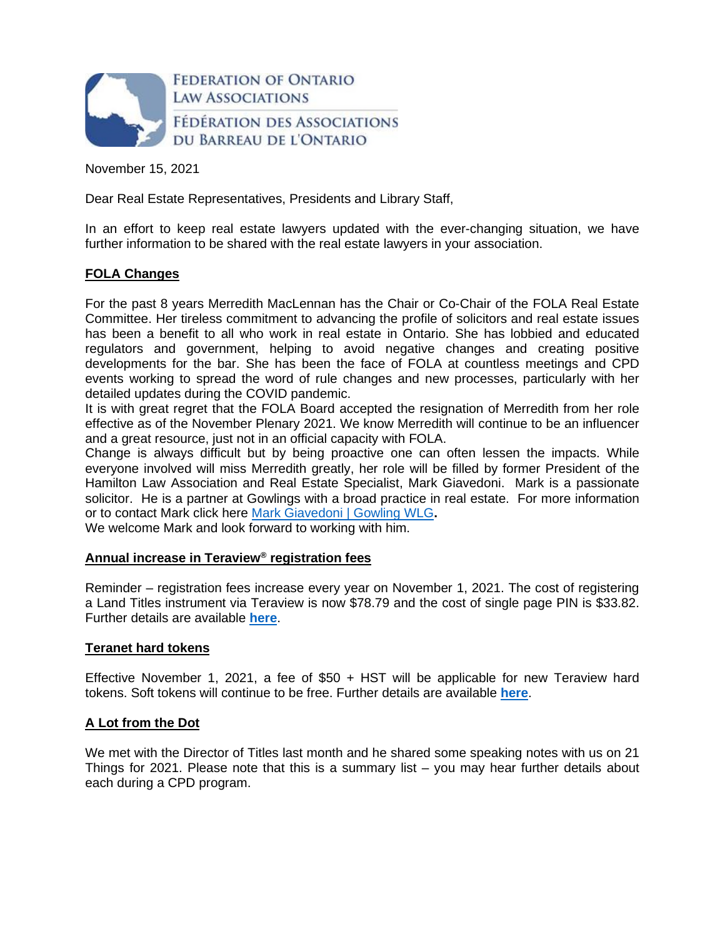

November 15, 2021

Dear Real Estate Representatives, Presidents and Library Staff,

In an effort to keep real estate lawyers updated with the ever-changing situation, we have further information to be shared with the real estate lawyers in your association.

# **FOLA Changes**

For the past 8 years Merredith MacLennan has the Chair or Co-Chair of the FOLA Real Estate Committee. Her tireless commitment to advancing the profile of solicitors and real estate issues has been a benefit to all who work in real estate in Ontario. She has lobbied and educated regulators and government, helping to avoid negative changes and creating positive developments for the bar. She has been the face of FOLA at countless meetings and CPD events working to spread the word of rule changes and new processes, particularly with her detailed updates during the COVID pandemic.

It is with great regret that the FOLA Board accepted the resignation of Merredith from her role effective as of the November Plenary 2021. We know Merredith will continue to be an influencer and a great resource, just not in an official capacity with FOLA.

Change is always difficult but by being proactive one can often lessen the impacts. While everyone involved will miss Merredith greatly, her role will be filled by former President of the Hamilton Law Association and Real Estate Specialist, Mark Giavedoni. Mark is a passionate solicitor. He is a partner at Gowlings with a broad practice in real estate. For more information or to contact Mark click here [Mark Giavedoni | Gowling WLG](https://gowlingwlg.com/en/people/mark-giavedoni/#panel-button1)**.** 

We welcome Mark and look forward to working with him.

# **Annual increase in Teraview® registration fees**

Reminder – registration fees increase every year on November 1, 2021. The cost of registering a Land Titles instrument via Teraview is now \$78.79 and the cost of single page PIN is \$33.82. Further details are available **[here](https://www.teraview.ca/wp-content/uploads/2021/09/Bulletin-2021-02-Fees-EN-Final.pdf)**.

# **Teranet hard tokens**

Effective November 1, 2021, a fee of  $$50 + HST$  will be applicable for new Teraview hard tokens. Soft tokens will continue to be free. Further details are available **[here](https://www.teraview.ca/en/important-information-regarding-teranet-hard-tokens/)**.

# **A Lot from the Dot**

We met with the Director of Titles last month and he shared some speaking notes with us on 21 Things for 2021. Please note that this is a summary list – you may hear further details about each during a CPD program.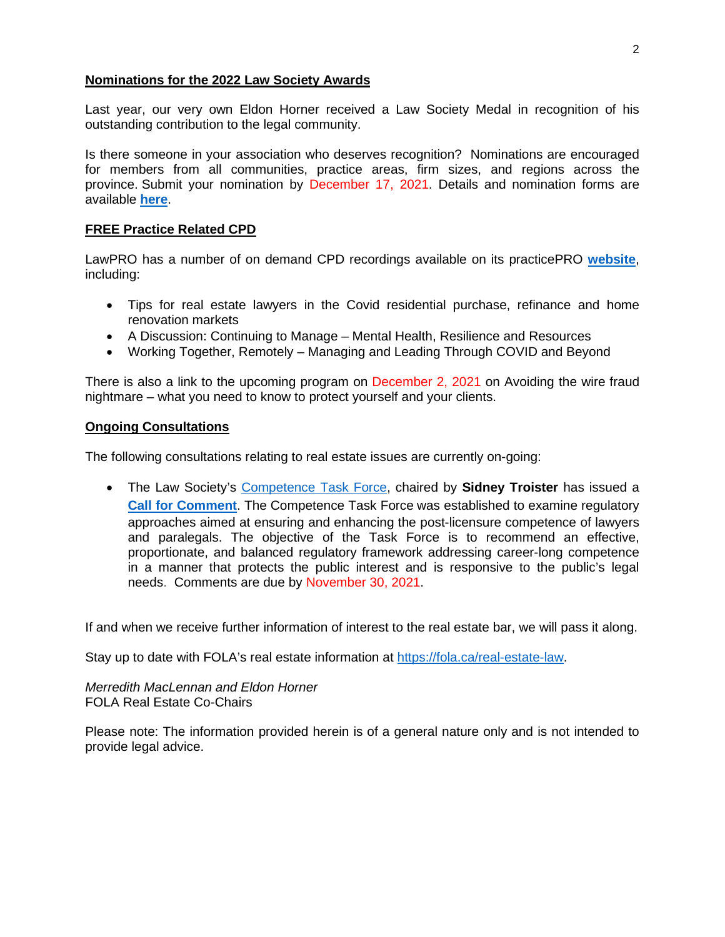#### **Nominations for the 2022 Law Society Awards**

Last year, our very own Eldon Horner received a Law Society Medal in recognition of his outstanding contribution to the legal community.

Is there someone in your association who deserves recognition? Nominations are encouraged for members from all communities, practice areas, firm sizes, and regions across the province. Submit your nomination by December 17, 2021. Details and nomination forms are available **[here](https://lso.ca/about-lso/medals-awards-and-honours/nominations-and-selection-process)**.

# **FREE Practice Related CPD**

LawPRO has a number of on demand CPD recordings available on its practicePRO **[website](https://www.practicepro.ca/cpd/)**, including:

- Tips for real estate lawyers in the Covid residential purchase, refinance and home renovation markets
- A Discussion: Continuing to Manage Mental Health, Resilience and Resources
- Working Together, Remotely Managing and Leading Through COVID and Beyond

There is also a link to the upcoming program on December 2, 2021 on Avoiding the wire fraud nightmare – what you need to know to protect yourself and your clients.

#### **Ongoing Consultations**

The following consultations relating to real estate issues are currently on-going:

 The Law Society's [Competence Task Force,](https://lso.ca/lawyers/enhancing-competence/competence-framework) chaired by **Sidney Troister** has issued a **[Call for Comment](https://lawsociety.forms-db.com/view.php?id=291901)**. The Competence Task Force was established to examine regulatory approaches aimed at ensuring and enhancing the post-licensure competence of lawyers and paralegals. The objective of the Task Force is to recommend an effective, proportionate, and balanced regulatory framework addressing career-long competence in a manner that protects the public interest and is responsive to the public's legal needs. Comments are due by November 30, 2021.

If and when we receive further information of interest to the real estate bar, we will pass it along.

Stay up to date with FOLA's real estate information at <https://fola.ca/real-estate-law>.

*Merredith MacLennan and Eldon Horner*  FOLA Real Estate Co-Chairs

Please note: The information provided herein is of a general nature only and is not intended to provide legal advice.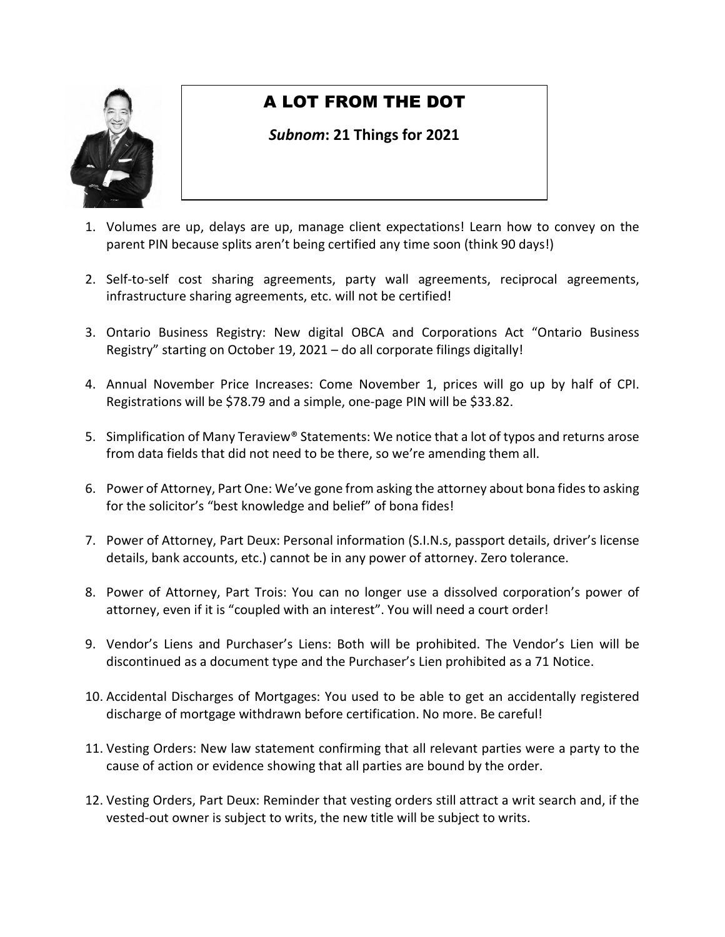

# A LOT FROM THE DOT

# *Subnom***: 21 Things for 2021**

- 1. Volumes are up, delays are up, manage client expectations! Learn how to convey on the parent PIN because splits aren't being certified any time soon (think 90 days!)
- 2. Self-to-self cost sharing agreements, party wall agreements, reciprocal agreements, infrastructure sharing agreements, etc. will not be certified!
- 3. Ontario Business Registry: New digital OBCA and Corporations Act "Ontario Business Registry" starting on October 19, 2021 – do all corporate filings digitally!
- 4. Annual November Price Increases: Come November 1, prices will go up by half of CPI. Registrations will be \$78.79 and a simple, one-page PIN will be \$33.82.
- 5. Simplification of Many Teraview® Statements: We notice that a lot of typos and returns arose from data fields that did not need to be there, so we're amending them all.
- 6. Power of Attorney, Part One: We've gone from asking the attorney about bona fides to asking for the solicitor's "best knowledge and belief" of bona fides!
- 7. Power of Attorney, Part Deux: Personal information (S.I.N.s, passport details, driver's license details, bank accounts, etc.) cannot be in any power of attorney. Zero tolerance.
- 8. Power of Attorney, Part Trois: You can no longer use a dissolved corporation's power of attorney, even if it is "coupled with an interest". You will need a court order!
- 9. Vendor's Liens and Purchaser's Liens: Both will be prohibited. The Vendor's Lien will be discontinued as a document type and the Purchaser's Lien prohibited as a 71 Notice.
- 10. Accidental Discharges of Mortgages: You used to be able to get an accidentally registered discharge of mortgage withdrawn before certification. No more. Be careful!
- 11. Vesting Orders: New law statement confirming that all relevant parties were a party to the cause of action or evidence showing that all parties are bound by the order.
- 12. Vesting Orders, Part Deux: Reminder that vesting orders still attract a writ search and, if the vested-out owner is subject to writs, the new title will be subject to writs.